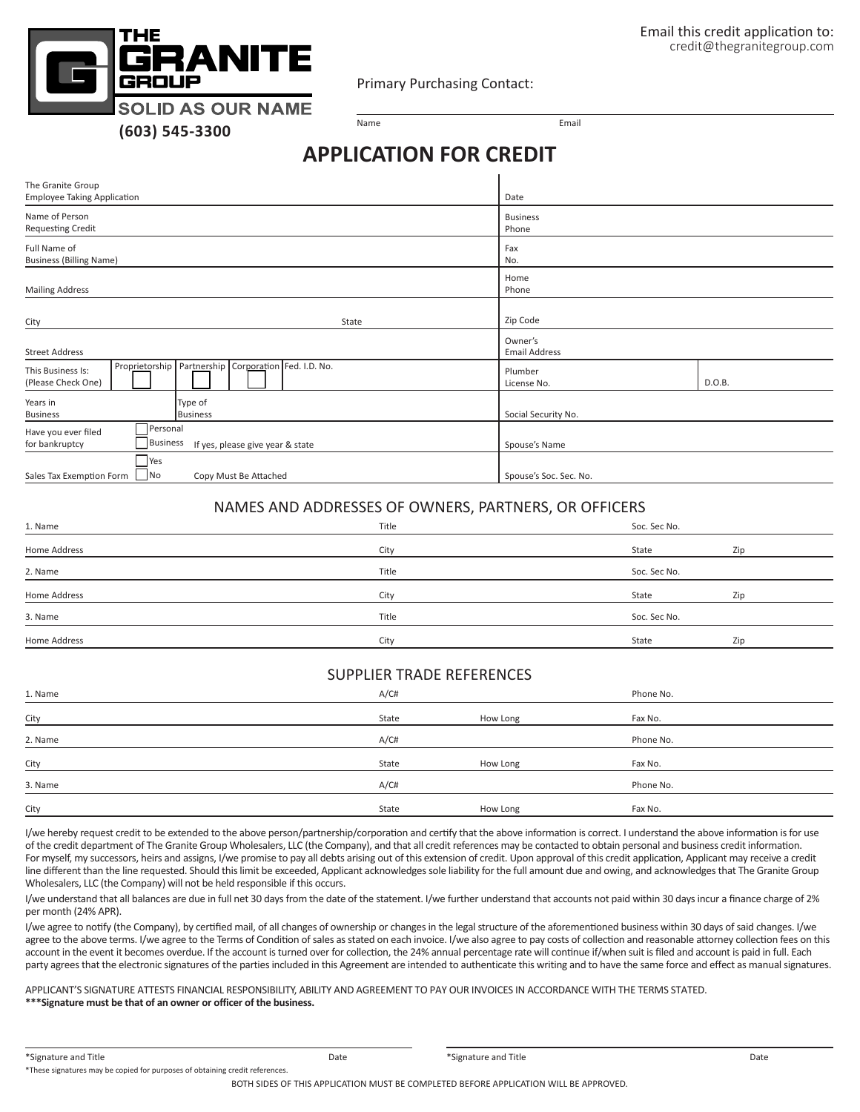Primary Purchasing Contact:

**SOLID AS OUR NAME (603) 545-3300**

ПE

ANITE

Name **Email** 

## **APPLICATION FOR CREDIT**

| The Granite Group<br><b>Employee Taking Application</b>                                               | Date                             |  |  |
|-------------------------------------------------------------------------------------------------------|----------------------------------|--|--|
| Name of Person<br><b>Requesting Credit</b>                                                            | <b>Business</b><br>Phone         |  |  |
| Full Name of<br><b>Business (Billing Name)</b>                                                        | Fax<br>No.                       |  |  |
| <b>Mailing Address</b>                                                                                | Home<br>Phone                    |  |  |
| City<br>State                                                                                         | Zip Code                         |  |  |
| <b>Street Address</b>                                                                                 | Owner's<br><b>Email Address</b>  |  |  |
| Proprietorship   Partnership   Corporation   Fed. I.D. No.<br>This Business Is:<br>(Please Check One) | Plumber<br>D.O.B.<br>License No. |  |  |
| Years in<br>Type of<br><b>Business</b><br><b>Business</b>                                             | Social Security No.              |  |  |
| Personal<br>Have you ever filed<br>for bankruptcy<br>Business<br>If yes, please give year & state     | Spouse's Name                    |  |  |
| Yes<br> No<br>Sales Tax Exemption Form<br>Copy Must Be Attached                                       | Spouse's Soc. Sec. No.           |  |  |

## NAMES AND ADDRESSES OF OWNERS, PARTNERS, OR OFFICERS

| 1. Name      | Title | Soc. Sec No. |     |
|--------------|-------|--------------|-----|
| Home Address | City  | State        | Zip |
| 2. Name      | Title | Soc. Sec No. |     |
| Home Address | City  | State        | Zip |
| 3. Name      | Title | Soc. Sec No. |     |
| Home Address | City  | State        | Zip |

## SUPPLIER TRADE REFERENCES

| 1. Name | A/CH  |          | Phone No. |  |
|---------|-------|----------|-----------|--|
| City    | State | How Long | Fax No.   |  |
| 2. Name | A/CH  |          | Phone No. |  |
| City    | State | How Long | Fax No.   |  |
| 3. Name | A/CH  |          | Phone No. |  |
| City    | State | How Long | Fax No.   |  |

I/we hereby request credit to be extended to the above person/partnership/corporation and certify that the above information is correct. I understand the above information is for use of the credit department of The Granite Group Wholesalers, LLC (the Company), and that all credit references may be contacted to obtain personal and business credit information. For myself, my successors, heirs and assigns, I/we promise to pay all debts arising out of this extension of credit. Upon approval of this credit application, Applicant may receive a credit line different than the line requested. Should this limit be exceeded, Applicant acknowledges sole liability for the full amount due and owing, and acknowledges that The Granite Group Wholesalers, LLC (the Company) will not be held responsible if this occurs.

I/we understand that all balances are due in full net 30 days from the date of the statement. I/we further understand that accounts not paid within 30 days incur a finance charge of 2% per month (24% APR).

I/we agree to notify (the Company), by certified mail, of all changes of ownership or changes in the legal structure of the aforementioned business within 30 days of said changes. I/we agree to the above terms. I/we agree to the Terms of Condition of sales as stated on each invoice. I/we also agree to pay costs of collection and reasonable attorney collection fees on this account in the event it becomes overdue. If the account is turned over for collection, the 24% annual percentage rate will continue if/when suit is filed and account is paid in full. Each party agrees that the electronic signatures of the parties included in this Agreement are intended to authenticate this writing and to have the same force and effect as manual signatures.

APPLICANT'S SIGNATURE ATTESTS FINANCIAL RESPONSIBILITY, ABILITY AND AGREEMENT TO PAY OUR INVOICES IN ACCORDANCE WITH THE TERMS STATED. **\*\*\*Signature must be that of an owner or officer of the business.**